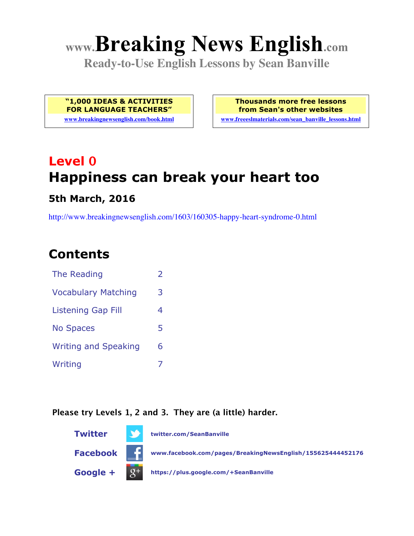# **www.Breaking News English.com**

**Ready-to-Use English Lessons by Sean Banville**

**"1,000 IDEAS & ACTIVITIES FOR LANGUAGE TEACHERS" www.breakingnewsenglish.com/book.html** **Thousands more free lessons from Sean's other websites**

**www.freeeslmaterials.com/sean\_banville\_lessons.html**

## **Level 0 Happiness can break your heart too**

#### **5th March, 2016**

http://www.breakingnewsenglish.com/1603/160305-happy-heart-syndrome-0.html

### **Contents**

| The Reading                 | $\mathcal{L}$ |
|-----------------------------|---------------|
| <b>Vocabulary Matching</b>  | 3             |
| <b>Listening Gap Fill</b>   | 4             |
| <b>No Spaces</b>            | 5             |
| <b>Writing and Speaking</b> | 6             |
| Writing                     |               |

#### **Please try Levels 1, 2 and 3. They are (a little) harder.**

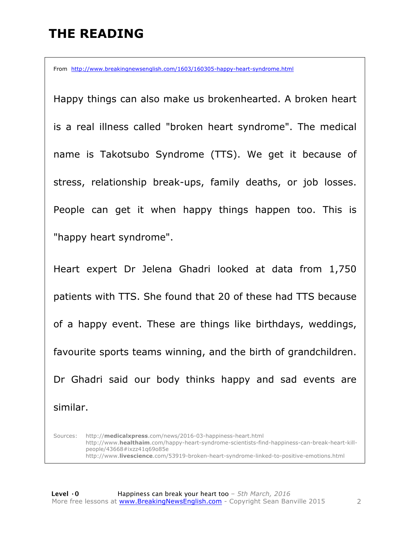### **THE READING**

From http://www.breakingnewsenglish.com/1603/160305-happy-heart-syndrome.html

Happy things can also make us brokenhearted. A broken heart is a real illness called "broken heart syndrome". The medical name is Takotsubo Syndrome (TTS). We get it because of stress, relationship break-ups, family deaths, or job losses. People can get it when happy things happen too. This is "happy heart syndrome".

Heart expert Dr Jelena Ghadri looked at data from 1,750 patients with TTS. She found that 20 of these had TTS because of a happy event. These are things like birthdays, weddings, favourite sports teams winning, and the birth of grandchildren. Dr Ghadri said our body thinks happy and sad events are similar.

Sources: http://**medicalxpress**.com/news/2016-03-happiness-heart.html http://www.**healthaim**.com/happy-heart-syndrome-scientists-find-happiness-can-break-heart-killpeople/43668#ixzz41q69o85e http://www.**livescience**.com/53919-broken-heart-syndrome-linked-to-positive-emotions.html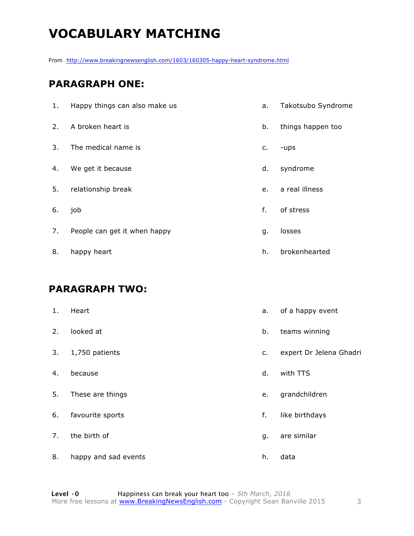### **VOCABULARY MATCHING**

From http://www.breakingnewsenglish.com/1603/160305-happy-heart-syndrome.html

#### **PARAGRAPH ONE:**

| 1. | Happy things can also make us | a. | Takotsubo Syndrome |
|----|-------------------------------|----|--------------------|
| 2. | A broken heart is             | b. | things happen too  |
| 3. | The medical name is           | c. | -ups               |
| 4. | We get it because             | d. | syndrome           |
| 5. | relationship break            | e. | a real illness     |
| 6. | job                           | f. | of stress          |
| 7. | People can get it when happy  | g. | losses             |
| 8. | happy heart                   | h. | brokenhearted      |

#### **PARAGRAPH TWO:**

| 1. | Heart                | a. | of a happy event        |
|----|----------------------|----|-------------------------|
| 2. | looked at            | b. | teams winning           |
| 3. | 1,750 patients       | c. | expert Dr Jelena Ghadri |
| 4. | because              | d. | with TTS                |
| 5. | These are things     | e. | grandchildren           |
| 6. | favourite sports     | f. | like birthdays          |
| 7. | the birth of         | g. | are similar             |
| 8. | happy and sad events | h. | data                    |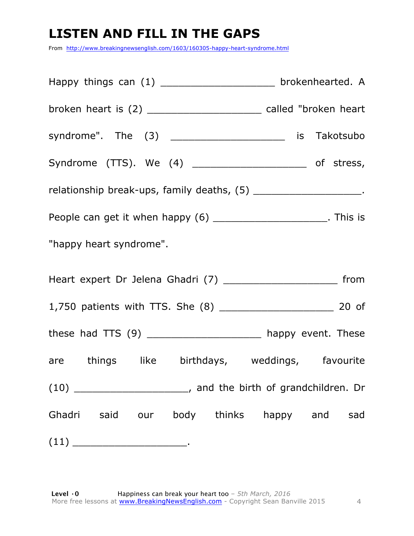### **LISTEN AND FILL IN THE GAPS**

From http://www.breakingnewsenglish.com/1603/160305-happy-heart-syndrome.html

| Happy things can (1) _______________________ brokenhearted. A         |  |
|-----------------------------------------------------------------------|--|
| broken heart is (2) _______________________ called "broken heart      |  |
| syndrome". The (3) _________________________ is Takotsubo             |  |
| Syndrome (TTS). We (4) ________________________ of stress,            |  |
| relationship break-ups, family deaths, (5) _______________________.   |  |
| People can get it when happy (6) _________________________. This is   |  |
| "happy heart syndrome".                                               |  |
|                                                                       |  |
|                                                                       |  |
| these had $TTS(9)$ _________________________ happy event. These       |  |
| are things like birthdays, weddings, favourite                        |  |
| $(10)$ __________________________, and the birth of grandchildren. Dr |  |
| Ghadri said our body thinks happy and sad                             |  |
|                                                                       |  |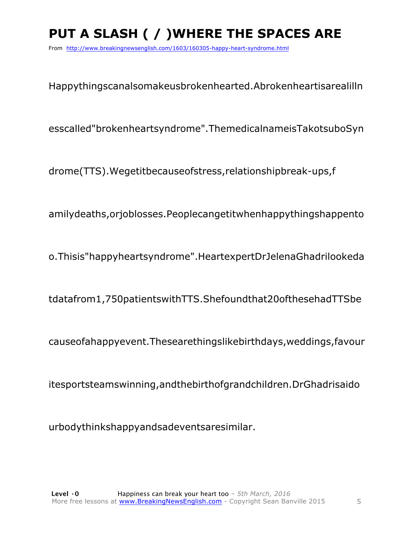### **PUT A SLASH ( / )WHERE THE SPACES ARE**

From http://www.breakingnewsenglish.com/1603/160305-happy-heart-syndrome.html

Happythingscanalsomakeusbrokenhearted.Abrokenheartisarealilln

esscalled"brokenheartsyndrome".ThemedicalnameisTakotsuboSyn

drome(TTS).Wegetitbecauseofstress,relationshipbreak-ups,f

amilydeaths,orjoblosses.Peoplecangetitwhenhappythingshappento

o.Thisis"happyheartsyndrome".HeartexpertDrJelenaGhadrilookeda

tdatafrom1,750patientswithTTS.Shefoundthat20ofthesehadTTSbe

causeofahappyevent.Thesearethingslikebirthdays,weddings,favour

itesportsteamswinning,andthebirthofgrandchildren.DrGhadrisaido

urbodythinkshappyandsadeventsaresimilar.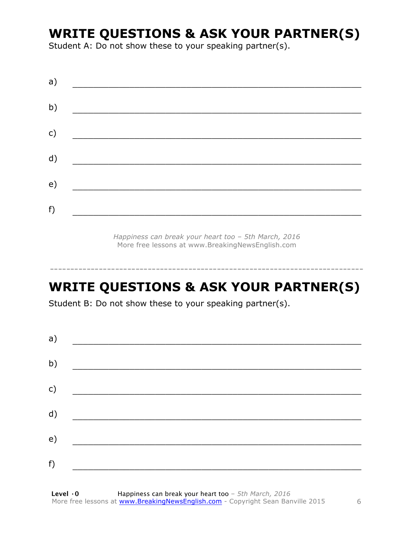### **WRITE QUESTIONS & ASK YOUR PARTNER(S)**

Student A: Do not show these to your speaking partner(s).

*Happiness can break your heart too – 5th March, 2016* More free lessons at www.BreakingNewsEnglish.com

### **WRITE QUESTIONS & ASK YOUR PARTNER(S)**

-----------------------------------------------------------------------------

Student B: Do not show these to your speaking partner(s).

| a) |  |  |
|----|--|--|
| b) |  |  |
| c) |  |  |
| d) |  |  |
| e) |  |  |
| f) |  |  |
|    |  |  |